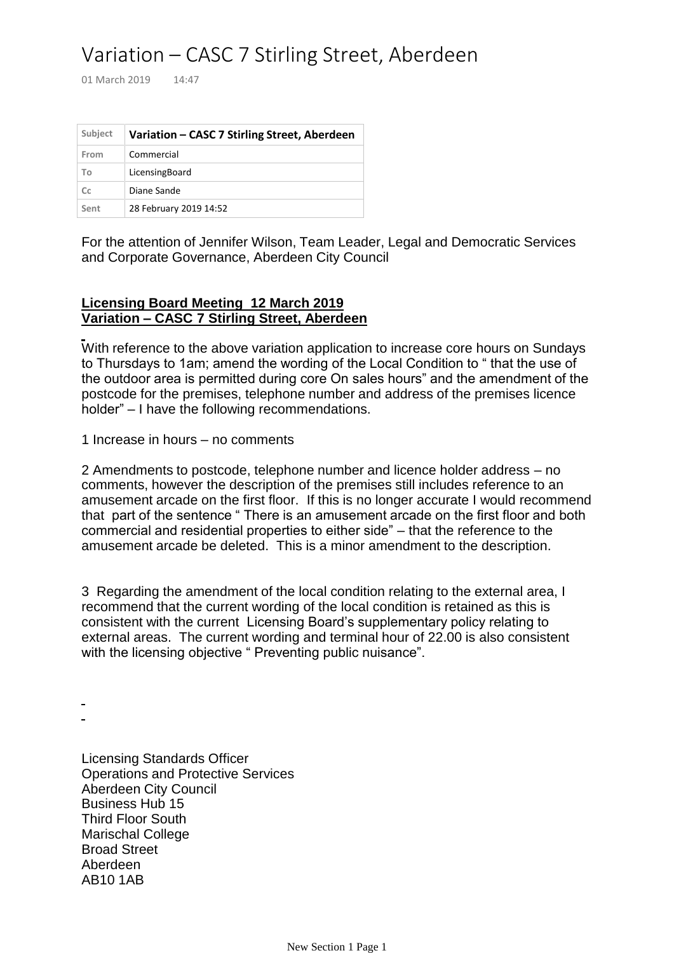## Variation – CASC 7 Stirling Street, Aberdeen

01 March 2019 14:47

| Subject | Variation - CASC 7 Stirling Street, Aberdeen |
|---------|----------------------------------------------|
| From    | Commercial                                   |
| To      | LicensingBoard                               |
| Cc      | Diane Sande                                  |
| Sent    | 28 February 2019 14:52                       |

For the attention of Jennifer Wilson, Team Leader, Legal and Democratic Services and Corporate Governance, Aberdeen City Council

## **Licensing Board Meeting 12 March 2019 Variation – CASC 7 Stirling Street, Aberdeen**

With reference to the above variation application to increase core hours on Sundays to Thursdays to 1am; amend the wording of the Local Condition to " that the use of the outdoor area is permitted during core On sales hours" and the amendment of the postcode for the premises, telephone number and address of the premises licence holder" – I have the following recommendations.

1 Increase in hours – no comments

2 Amendments to postcode, telephone number and licence holder address – no comments, however the description of the premises still includes reference to an amusement arcade on the first floor. If this is no longer accurate I would recommend that part of the sentence " There is an amusement arcade on the first floor and both commercial and residential properties to either side" – that the reference to the amusement arcade be deleted. This is a minor amendment to the description.

3 Regarding the amendment of the local condition relating to the external area, I recommend that the current wording of the local condition is retained as this is consistent with the current Licensing Board's supplementary policy relating to external areas. The current wording and terminal hour of 22.00 is also consistent with the licensing objective " Preventing public nuisance".

Licensing Standards Officer Operations and Protective Services Aberdeen City Council Business Hub 15 Third Floor South Marischal College Broad Street Aberdeen AB10 1AB